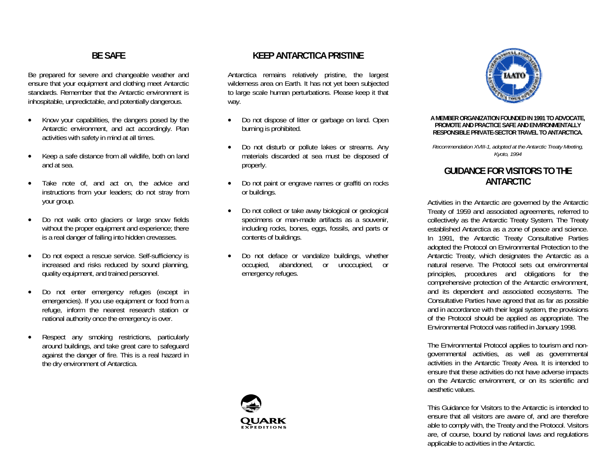## **BE SAFE**

Be prepared for severe and changeable weather and ensure that your equipment and clothing meet Antarctic standards. Remember that the Antarctic environment is inhospitable, unpredictable, and potentially dangerous.

- • Know your capabilities, the dangers posed by the Antarctic environment, and act accordingly. Plan activities with safety in mind at all times.
- • Keep a safe distance from all wildlife, both on land and at sea.
- Take note of, and act on, the advice and instructions from your leaders; do not stray from your group.
- • Do not walk onto glaciers or large snow fields without the proper equipment and experience; there is a real danger of falling into hidden crevasses.
- • Do not expect a rescue service. Self-sufficiency is increased and risks reduced by sound planning, quality equipment, and trained personnel.
- • Do not enter emergency refuges (except in emergencies). If you use equipment or food from a refuge, inform the nearest research station or national authority once the emergency is over.
- • Respect any smoking restrictions, particularly around buildings, and take great care to safeguard against the danger of fire. This is a real hazard in the dry environment of Antarctica.

#### **KEEP ANTARCTICA PRISTINE**

Antarctica remains relatively pristine, the largest wilderness area on Earth. It has not yet been subjected to large scale human perturbations. Please keep it that way.

- • Do not dispose of litter or garbage on land. Open burning is prohibited.
- • Do not disturb or pollute lakes or streams. Any materials discarded at sea must be disposed of properly.
- • Do not paint or engrave names or graffiti on rocks or buildings.
- • Do not collect or take away biological or geological specimens or man-made artifacts as a souvenir, including rocks, bones, eggs, fossils, and parts or contents of buildings.
- • Do not deface or vandalize buildings, whether occupied, abandoned, or unoccupied, or emergency refuges.





#### **A MEMBER ORGANIZATION FOUNDED IN 1991 TO ADVOCATE, PROMOTE AND PRACTICE SAFE AND ENVIRONMENTALLY RESPONSIBLE PRIVATE-SECTOR TRAVEL TO ANTARCTICA.**

*Recommendation XVIII-1, adopted at the Antarctic Treaty Meeting, Kyoto, 1994* 

### **GUIDANCE FOR VISITORS TO THE ANTARCTIC**

Activities in the Antarctic are governed by the Antarctic Treaty of 1959 and associated agreements, referred to collectively as the Antarctic Treaty System. The Treaty established Antarctica as a zone of peace and science. In 1991, the Antarctic Treaty Consultative Parties adopted the Protocol on Environmental Protection to the Antarctic Treaty, which designates the Antarctic as a natural reserve. The Protocol sets out environmental principles, procedures and obligations for the comprehensive protection of the Antarctic environment, and its dependent and associated ecosystems. The Consultative Parties have agreed that as far as possible and in accordance with their legal system, the provisions of the Protocol should be applied as appropriate. The Environmental Protocol was ratified in January 1998.

The Environmental Protocol applies to tourism and nongovernmental activities, as well as governmental activities in the Antarctic Treaty Area. It is intended to ensure that these activities do not have adverse impacts on the Antarctic environment, or on its scientific and aesthetic values.

This Guidance for Visitors to the Antarctic is intended to ensure that all visitors are aware of, and are therefore able to comply with, the Treaty and the Protocol. Visitors are, of course, bound by national laws and regulations applicable to activities in the Antarctic.